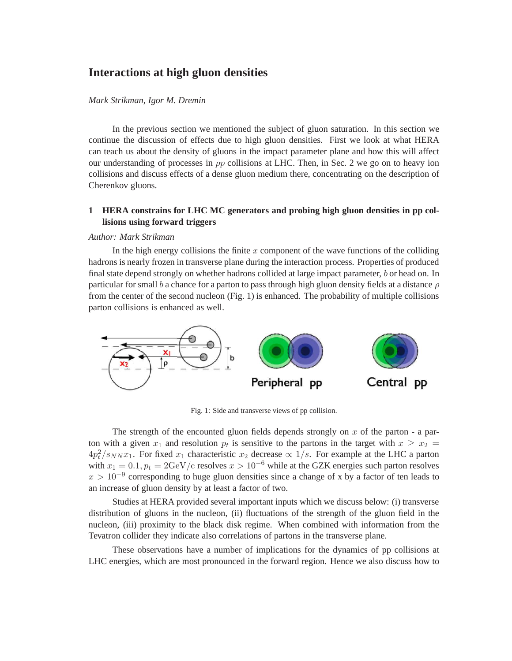# **Interactions at high gluon densities**

## *Mark Strikman, Igor M. Dremin*

In the previous section we mentioned the subject of gluon saturation. In this section we continue the discussion of effects due to high gluon densities. First we look at what HERA can teach us about the density of gluons in the impact parameter plane and how this will affect our understanding of processes in  $pp$  collisions at LHC. Then, in Sec. 2 we go on to heavy ion collisions and discuss effects of a dense gluon medium there, concentrating on the description of Cherenkov gluons.

# **1 HERA constrains for LHC MC generators and probing high gluon densities in pp collisions using forward triggers**

#### *Author: Mark Strikman*

In the high energy collisions the finite  $x$  component of the wave functions of the colliding hadrons is nearly frozen in transverse plane during the interaction process. Properties of produced final state depend strongly on whether hadrons collided at large impact parameter, b or head on. In particular for small b a chance for a parton to pass through high gluon density fields at a distance  $\rho$ from the center of the second nucleon (Fig. 1) is enhanced. The probability of multiple collisions parton collisions is enhanced as well.



Fig. 1: Side and transverse views of pp collision.

The strength of the encounted gluon fields depends strongly on x of the parton - a parton with a given  $x_1$  and resolution  $p_t$  is sensitive to the partons in the target with  $x \ge x_2 =$  $4p_t^2/s_{NN}x_1$ . For fixed  $x_1$  characteristic  $x_2$  decrease  $\propto 1/s$ . For example at the LHC a parton with  $x_1 = 0.1, p_t = 2 \text{GeV/c}$  resolves  $x > 10^{-6}$  while at the GZK energies such parton resolves  $x > 10^{-9}$  corresponding to huge gluon densities since a change of x by a factor of ten leads to an increase of gluon density by at least a factor of two.

Studies at HERA provided several important inputs which we discuss below: (i) transverse distribution of gluons in the nucleon, (ii) fluctuations of the strength of the gluon field in the nucleon, (iii) proximity to the black disk regime. When combined with information from the Tevatron collider they indicate also correlations of partons in the transverse plane.

These observations have a number of implications for the dynamics of pp collisions at LHC energies, which are most pronounced in the forward region. Hence we also discuss how to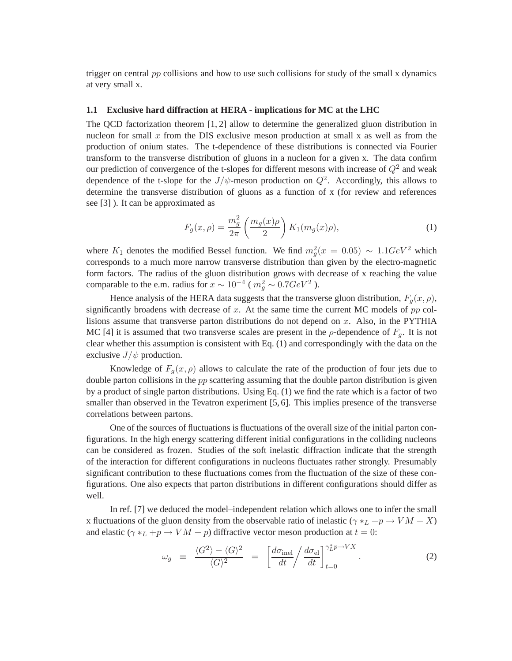trigger on central  $pp$  collisions and how to use such collisions for study of the small x dynamics at very small x.

#### **1.1 Exclusive hard diffraction at HERA - implications for MC at the LHC**

The QCD factorization theorem [1, 2] allow to determine the generalized gluon distribution in nucleon for small x from the DIS exclusive meson production at small x as well as from the production of onium states. The t-dependence of these distributions is connected via Fourier transform to the transverse distribution of gluons in a nucleon for a given x. The data confirm our prediction of convergence of the t-slopes for different mesons with increase of  $Q^2$  and weak dependence of the t-slope for the  $J/\psi$ -meson production on  $Q^2$ . Accordingly, this allows to determine the transverse distribution of gluons as a function of x (for review and references see [3] ). It can be approximated as

$$
F_g(x,\rho) = \frac{m_g^2}{2\pi} \left(\frac{m_g(x)\rho}{2}\right) K_1(m_g(x)\rho),
$$
 (1)

where  $K_1$  denotes the modified Bessel function. We find  $m_g^2(x = 0.05) \sim 1.1 GeV^2$  which corresponds to a much more narrow transverse distribution than given by the electro-magnetic form factors. The radius of the gluon distribution grows with decrease of x reaching the value comparable to the e.m. radius for  $x \sim 10^{-4}$  ( $m_g^2 \sim 0.7 GeV^2$ ).

Hence analysis of the HERA data suggests that the transverse gluon distribution,  $F_q(x, \rho)$ , significantly broadens with decrease of x. At the same time the current MC models of  $pp$  collisions assume that transverse parton distributions do not depend on  $x$ . Also, in the PYTHIA MC [4] it is assumed that two transverse scales are present in the  $\rho$ -dependence of  $F_q$ . It is not clear whether this assumption is consistent with Eq. (1) and correspondingly with the data on the exclusive  $J/\psi$  production.

Knowledge of  $F_q(x, \rho)$  allows to calculate the rate of the production of four jets due to double parton collisions in the  $pp$  scattering assuming that the double parton distribution is given by a product of single parton distributions. Using Eq. (1) we find the rate which is a factor of two smaller than observed in the Tevatron experiment [5, 6]. This implies presence of the transverse correlations between partons.

One of the sources of fluctuations is fluctuations of the overall size of the initial parton configurations. In the high energy scattering different initial configurations in the colliding nucleons can be considered as frozen. Studies of the soft inelastic diffraction indicate that the strength of the interaction for different configurations in nucleons fluctuates rather strongly. Presumably significant contribution to these fluctuations comes from the fluctuation of the size of these configurations. One also expects that parton distributions in different configurations should differ as well.

In ref. [7] we deduced the model–independent relation which allows one to infer the small x fluctuations of the gluon density from the observable ratio of inelastic ( $\gamma *_{L} + p \rightarrow VM + X$ ) and elastic ( $\gamma *_{L} + p \rightarrow VM + p$ ) diffractive vector meson production at  $t = 0$ :

$$
\omega_g \equiv \frac{\langle G^2 \rangle - \langle G \rangle^2}{\langle G \rangle^2} = \left[ \frac{d\sigma_{\text{inel}}}{dt} \middle/ \frac{d\sigma_{\text{el}}}{dt} \right]_{t=0}^{\gamma_L^* p \to VX} . \tag{2}
$$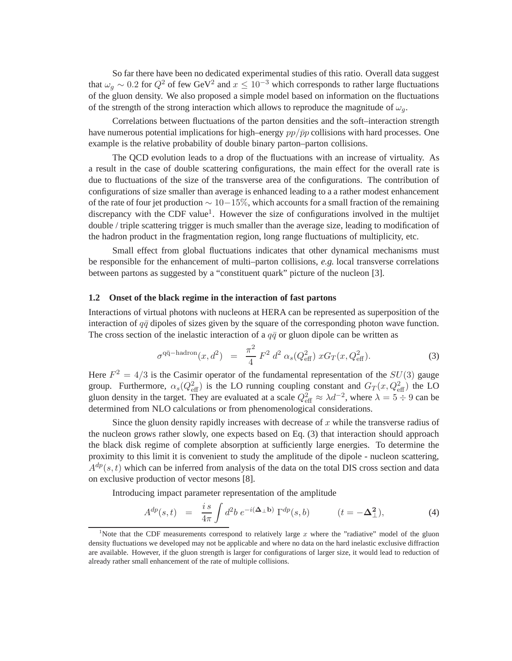So far there have been no dedicated experimental studies of this ratio. Overall data suggest that  $\omega_g \sim 0.2$  for  $Q^2$  of few GeV<sup>2</sup> and  $x \le 10^{-3}$  which corresponds to rather large fluctuations of the gluon density. We also proposed a simple model based on information on the fluctuations of the strength of the strong interaction which allows to reproduce the magnitude of  $\omega_a$ .

Correlations between fluctuations of the parton densities and the soft–interaction strength have numerous potential implications for high–energy  $pp/\bar{p}p$  collisions with hard processes. One example is the relative probability of double binary parton–parton collisions.

The QCD evolution leads to a drop of the fluctuations with an increase of virtuality. As a result in the case of double scattering configurations, the main effect for the overall rate is due to fluctuations of the size of the transverse area of the configurations. The contribution of configurations of size smaller than average is enhanced leading to a a rather modest enhancement of the rate of four jet production  $\sim 10-15\%$ , which accounts for a small fraction of the remaining discrepancy with the CDF value<sup>1</sup>. However the size of configurations involved in the multijet double / triple scattering trigger is much smaller than the average size, leading to modification of the hadron product in the fragmentation region, long range fluctuations of multiplicity, etc.

Small effect from global fluctuations indicates that other dynamical mechanisms must be responsible for the enhancement of multi–parton collisions, *e.g.* local transverse correlations between partons as suggested by a "constituent quark" picture of the nucleon [3].

## **1.2 Onset of the black regime in the interaction of fast partons**

Interactions of virtual photons with nucleons at HERA can be represented as superposition of the interaction of  $q\bar{q}$  dipoles of sizes given by the square of the corresponding photon wave function. The cross section of the inelastic interaction of a  $q\bar{q}$  or gluon dipole can be written as

$$
\sigma^{q\bar{q}-\text{hadron}}(x, d^2) = \frac{\pi^2}{4} F^2 d^2 \alpha_s(Q_{\text{eff}}^2) x G_T(x, Q_{\text{eff}}^2).
$$
 (3)

Here  $F^2 = 4/3$  is the Casimir operator of the fundamental representation of the  $SU(3)$  gauge group. Furthermore,  $\alpha_s(Q_{\text{eff}}^2)$  is the LO running coupling constant and  $G_T(x,Q_{\text{eff}}^2)$  the LO gluon density in the target. They are evaluated at a scale  $Q_{\text{eff}}^2 \approx \lambda d^{-2}$ , where  $\lambda = 5 \div 9$  can be determined from NLO calculations or from phenomenological considerations.

Since the gluon density rapidly increases with decrease of  $x$  while the transverse radius of the nucleon grows rather slowly, one expects based on Eq. (3) that interaction should approach the black disk regime of complete absorption at sufficiently large energies. To determine the proximity to this limit it is convenient to study the amplitude of the dipole - nucleon scattering,  $A^{dp}(s,t)$  which can be inferred from analysis of the data on the total DIS cross section and data on exclusive production of vector mesons [8].

Introducing impact parameter representation of the amplitude

$$
A^{dp}(s,t) = \frac{i s}{4\pi} \int d^2b \ e^{-i(\mathbf{\Delta}_{\perp} \mathbf{b})} \Gamma^{dp}(s,b) \qquad (t = -\mathbf{\Delta}^2_{\perp}), \tag{4}
$$

<sup>&</sup>lt;sup>1</sup>Note that the CDF measurements correspond to relatively large x where the "radiative" model of the gluon density fluctuations we developed may not be applicable and where no data on the hard inelastic exclusive diffraction are available. However, if the gluon strength is larger for configurations of larger size, it would lead to reduction of already rather small enhancement of the rate of multiple collisions.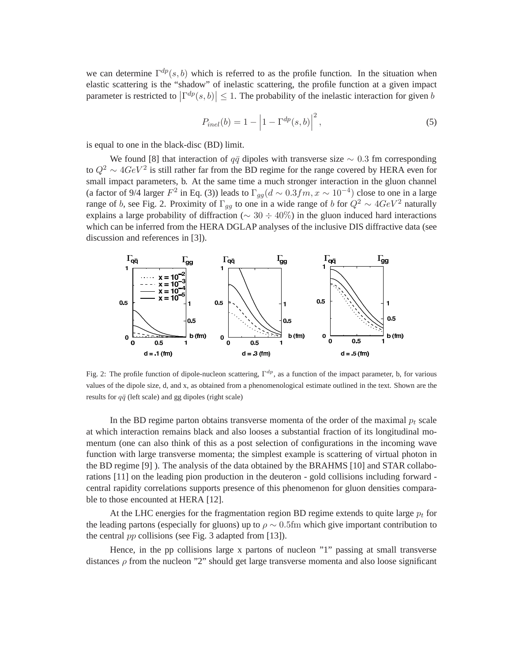we can determine  $\Gamma^{dp}(s,b)$  which is referred to as the profile function. In the situation when elastic scattering is the "shadow" of inelastic scattering, the profile function at a given impact parameter is restricted to  $\left|\Gamma^{dp}(s,b)\right| \leq 1$ . The probability of the inelastic interaction for given b

$$
P_{inel}(b) = 1 - \left| 1 - \Gamma^{dp}(s, b) \right|^2, \tag{5}
$$

is equal to one in the black-disc (BD) limit.

We found [8] that interaction of  $q\bar{q}$  dipoles with transverse size  $\sim 0.3$  fm corresponding to  $Q^2 \sim 4 GeV^2$  is still rather far from the BD regime for the range covered by HERA even for small impact parameters, b. At the same time a much stronger interaction in the gluon channel (a factor of 9/4 larger  $F^2$  in Eq. (3)) leads to  $\Gamma_{gg}(d \sim 0.3 fm, x \sim 10^{-4})$  close to one in a large range of b, see Fig. 2. Proximity of  $\Gamma_{qg}$  to one in a wide range of b for  $Q^2 \sim 4 GeV^2$  naturally explains a large probability of diffraction ( $\sim 30 \div 40\%$ ) in the gluon induced hard interactions which can be inferred from the HERA DGLAP analyses of the inclusive DIS diffractive data (see discussion and references in [3]).



Fig. 2: The profile function of dipole-nucleon scattering,  $\Gamma^{dp}$ , as a function of the impact parameter, b, for various values of the dipole size, d, and x, as obtained from a phenomenological estimate outlined in the text. Shown are the results for  $q\bar{q}$  (left scale) and gg dipoles (right scale)

In the BD regime parton obtains transverse momenta of the order of the maximal  $p_t$  scale at which interaction remains black and also looses a substantial fraction of its longitudinal momentum (one can also think of this as a post selection of configurations in the incoming wave function with large transverse momenta; the simplest example is scattering of virtual photon in the BD regime [9] ). The analysis of the data obtained by the BRAHMS [10] and STAR collaborations [11] on the leading pion production in the deuteron - gold collisions including forward central rapidity correlations supports presence of this phenomenon for gluon densities comparable to those encounted at HERA [12].

At the LHC energies for the fragmentation region BD regime extends to quite large  $p_t$  for the leading partons (especially for gluons) up to  $\rho \sim 0.5$ fm which give important contribution to the central pp collisions (see Fig. 3 adapted from [13]).

Hence, in the pp collisions large x partons of nucleon "1" passing at small transverse distances  $\rho$  from the nucleon "2" should get large transverse momenta and also loose significant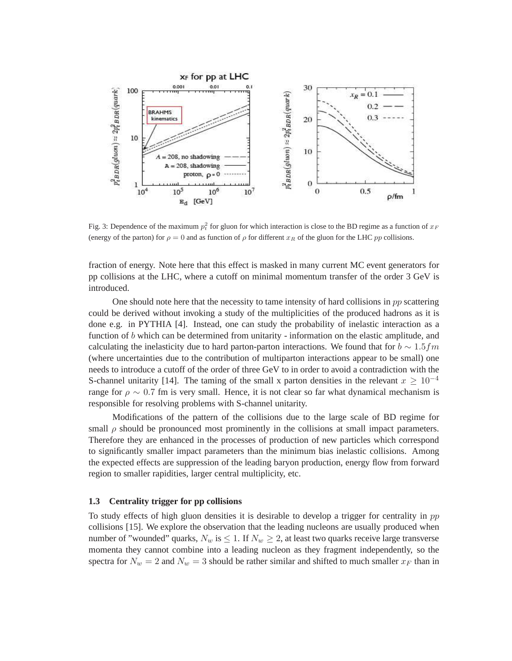

Fig. 3: Dependence of the maximum  $p_t^2$  for gluon for which interaction is close to the BD regime as a function of  $x_F$ (energy of the parton) for  $\rho = 0$  and as function of  $\rho$  for different  $x_R$  of the gluon for the LHC pp collisions.

fraction of energy. Note here that this effect is masked in many current MC event generators for pp collisions at the LHC, where a cutoff on minimal momentum transfer of the order 3 GeV is introduced.

One should note here that the necessity to tame intensity of hard collisions in  $pp$  scattering could be derived without invoking a study of the multiplicities of the produced hadrons as it is done e.g. in PYTHIA [4]. Instead, one can study the probability of inelastic interaction as a function of b which can be determined from unitarity - information on the elastic amplitude, and calculating the inelasticity due to hard parton-parton interactions. We found that for  $b \sim 1.5$  fm (where uncertainties due to the contribution of multiparton interactions appear to be small) one needs to introduce a cutoff of the order of three GeV to in order to avoid a contradiction with the S-channel unitarity [14]. The taming of the small x parton densities in the relevant  $x \ge 10^{-4}$ range for  $\rho \sim 0.7$  fm is very small. Hence, it is not clear so far what dynamical mechanism is responsible for resolving problems with S-channel unitarity.

Modifications of the pattern of the collisions due to the large scale of BD regime for small  $\rho$  should be pronounced most prominently in the collisions at small impact parameters. Therefore they are enhanced in the processes of production of new particles which correspond to significantly smaller impact parameters than the minimum bias inelastic collisions. Among the expected effects are suppression of the leading baryon production, energy flow from forward region to smaller rapidities, larger central multiplicity, etc.

### **1.3 Centrality trigger for pp collisions**

To study effects of high gluon densities it is desirable to develop a trigger for centrality in pp collisions [15]. We explore the observation that the leading nucleons are usually produced when number of "wounded" quarks,  $N_w$  is  $\leq 1$ . If  $N_w \geq 2$ , at least two quarks receive large transverse momenta they cannot combine into a leading nucleon as they fragment independently, so the spectra for  $N_w = 2$  and  $N_w = 3$  should be rather similar and shifted to much smaller  $x_F$  than in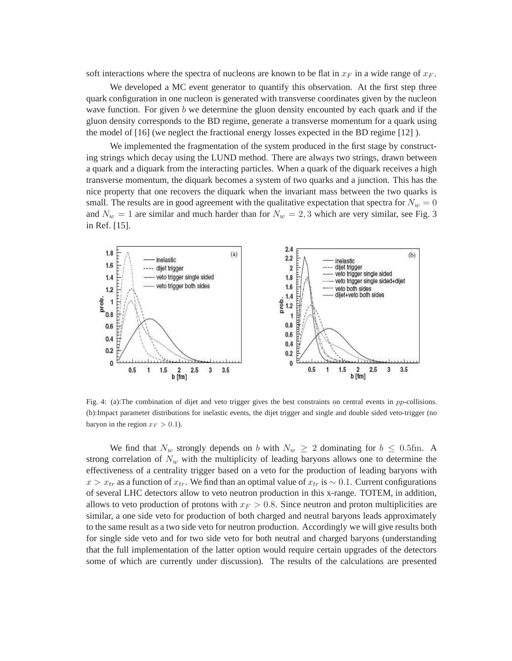soft interactions where the spectra of nucleons are known to be flat in  $x_F$  in a wide range of  $x_F$ .

We developed a MC event generator to quantify this observation. At the first step three quark configuration in one nucleon is generated with transverse coordinates given by the nucleon wave function. For given  $b$  we determine the gluon density encounted by each quark and if the gluon density corresponds to the BD regime, generate a transverse momentum for a quark using the model of [16] (we neglect the fractional energy losses expected in the BD regime [12] ).

We implemented the fragmentation of the system produced in the first stage by constructing strings which decay using the LUND method. There are always two strings, drawn between a quark and a diquark from the interacting particles. When a quark of the diquark receives a high transverse momentum, the diquark becomes a system of two quarks and a junction. This has the nice property that one recovers the diquark when the invariant mass between the two quarks is small. The results are in good agreement with the qualitative expectation that spectra for  $N_w = 0$ and  $N_w = 1$  are similar and much harder than for  $N_w = 2, 3$  which are very similar, see Fig. 3 in Ref. [15].



Fig. 4: (a):The combination of dijet and veto trigger gives the best constraints on central events in pp-collisions. (b):Impact parameter distributions for inelastic events, the dijet trigger and single and double sided veto-trigger (no baryon in the region  $x_F > 0.1$ ).

We find that  $N_w$  strongly depends on b with  $N_w \geq 2$  dominating for  $b \leq 0.5$ fm. A strong correlation of  $N_w$  with the multiplicity of leading baryons allows one to determine the effectiveness of a centrality trigger based on a veto for the production of leading baryons with  $x > x_{tr}$  as a function of  $x_{tr}$ . We find than an optimal value of  $x_{tr}$  is ∼ 0.1. Current configurations of several LHC detectors allow to veto neutron production in this x-range. TOTEM, in addition, allows to veto production of protons with  $x_F > 0.8$ . Since neutron and proton multiplicities are similar, a one side veto for production of both charged and neutral baryons leads approximately to the same result as a two side veto for neutron production. Accordingly we will give results both for single side veto and for two side veto for both neutral and charged baryons (understanding that the full implementation of the latter option would require certain upgrades of the detectors some of which are currently under discussion). The results of the calculations are presented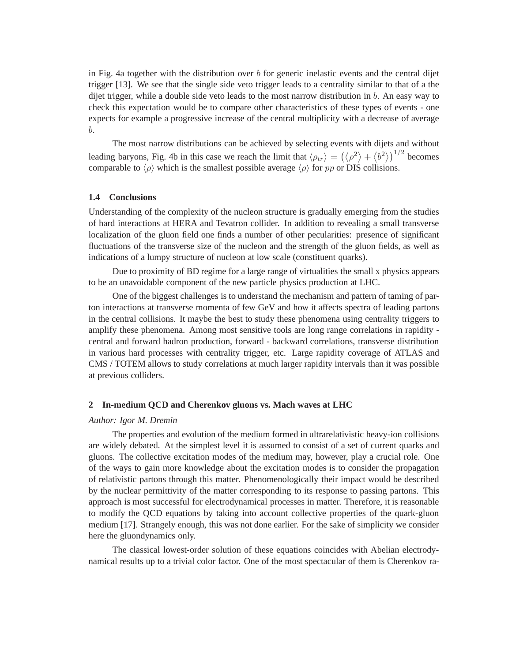in Fig. 4a together with the distribution over b for generic inelastic events and the central dijet trigger [13]. We see that the single side veto trigger leads to a centrality similar to that of a the dijet trigger, while a double side veto leads to the most narrow distribution in  $b$ . An easy way to check this expectation would be to compare other characteristics of these types of events - one expects for example a progressive increase of the central multiplicity with a decrease of average b.

The most narrow distributions can be achieved by selecting events with dijets and without leading baryons, Fig. 4b in this case we reach the limit that  $\langle \rho_{tr} \rangle = (\langle \rho^2 \rangle + \langle b^2 \rangle)^{1/2}$  becomes comparable to  $\langle \rho \rangle$  which is the smallest possible average  $\langle \rho \rangle$  for pp or DIS collisions.

## **1.4 Conclusions**

Understanding of the complexity of the nucleon structure is gradually emerging from the studies of hard interactions at HERA and Tevatron collider. In addition to revealing a small transverse localization of the gluon field one finds a number of other pecularities: presence of significant fluctuations of the transverse size of the nucleon and the strength of the gluon fields, as well as indications of a lumpy structure of nucleon at low scale (constituent quarks).

Due to proximity of BD regime for a large range of virtualities the small x physics appears to be an unavoidable component of the new particle physics production at LHC.

One of the biggest challenges is to understand the mechanism and pattern of taming of parton interactions at transverse momenta of few GeV and how it affects spectra of leading partons in the central collisions. It maybe the best to study these phenomena using centrality triggers to amplify these phenomena. Among most sensitive tools are long range correlations in rapidity central and forward hadron production, forward - backward correlations, transverse distribution in various hard processes with centrality trigger, etc. Large rapidity coverage of ATLAS and CMS / TOTEM allows to study correlations at much larger rapidity intervals than it was possible at previous colliders.

#### **2 In-medium QCD and Cherenkov gluons vs. Mach waves at LHC**

#### *Author: Igor M. Dremin*

The properties and evolution of the medium formed in ultrarelativistic heavy-ion collisions are widely debated. At the simplest level it is assumed to consist of a set of current quarks and gluons. The collective excitation modes of the medium may, however, play a crucial role. One of the ways to gain more knowledge about the excitation modes is to consider the propagation of relativistic partons through this matter. Phenomenologically their impact would be described by the nuclear permittivity of the matter corresponding to its response to passing partons. This approach is most successful for electrodynamical processes in matter. Therefore, it is reasonable to modify the QCD equations by taking into account collective properties of the quark-gluon medium [17]. Strangely enough, this was not done earlier. For the sake of simplicity we consider here the gluondynamics only.

The classical lowest-order solution of these equations coincides with Abelian electrodynamical results up to a trivial color factor. One of the most spectacular of them is Cherenkov ra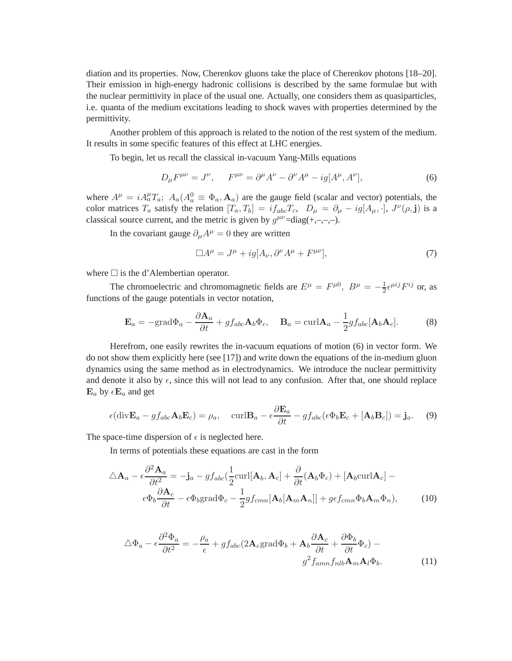diation and its properties. Now, Cherenkov gluons take the place of Cherenkov photons [18–20]. Their emission in high-energy hadronic collisions is described by the same formulae but with the nuclear permittivity in place of the usual one. Actually, one considers them as quasiparticles, i.e. quanta of the medium excitations leading to shock waves with properties determined by the permittivity.

Another problem of this approach is related to the notion of the rest system of the medium. It results in some specific features of this effect at LHC energies.

To begin, let us recall the classical in-vacuum Yang-Mills equations

$$
D_{\mu}F^{\mu\nu} = J^{\nu}, \qquad F^{\mu\nu} = \partial^{\mu}A^{\nu} - \partial^{\nu}A^{\mu} - ig[A^{\mu}, A^{\nu}], \tag{6}
$$

where  $A^{\mu} = iA^{\mu}_a T_a$ ;  $A_a (A^0_a \equiv \Phi_a, \mathbf{A}_a)$  are the gauge field (scalar and vector) potentials, the color matrices  $T_a$  satisfy the relation  $[T_a, T_b] = i f_{abc} T_c$ ,  $D_\mu = \partial_\mu - i g[A_\mu, \cdot]$ ,  $J^\nu(\rho, \mathbf{j})$  is a classical source current, and the metric is given by  $g^{\mu\nu}$ =diag(+,-,-,-).

In the covariant gauge  $\partial_{\mu}A^{\mu} = 0$  they are written

$$
\Box A^{\mu} = J^{\mu} + ig[A_{\nu}, \partial^{\nu} A^{\mu} + F^{\mu\nu}], \tag{7}
$$

where  $\Box$  is the d'Alembertian operator.

The chromoelectric and chromomagnetic fields are  $E^{\mu} = F^{\mu 0}$ ,  $B^{\mu} = -\frac{1}{2}$  $\frac{1}{2} \epsilon^{\mu ij} F^{ij}$  or, as functions of the gauge potentials in vector notation,

$$
\mathbf{E}_a = -\text{grad}\Phi_a - \frac{\partial \mathbf{A}_a}{\partial t} + gf_{abc}\mathbf{A}_b\Phi_c, \quad \mathbf{B}_a = \text{curl}\mathbf{A}_a - \frac{1}{2}gf_{abc}[\mathbf{A}_b\mathbf{A}_c].\tag{8}
$$

Herefrom, one easily rewrites the in-vacuum equations of motion (6) in vector form. We do not show them explicitly here (see [17]) and write down the equations of the in-medium gluon dynamics using the same method as in electrodynamics. We introduce the nuclear permittivity and denote it also by  $\epsilon$ , since this will not lead to any confusion. After that, one should replace  $\mathbf{E}_a$  by  $\epsilon \mathbf{E}_a$  and get

$$
\epsilon(\text{div}\mathbf{E}_a - gf_{abc}\mathbf{A}_b\mathbf{E}_c) = \rho_a, \quad \text{curl}\mathbf{B}_a - \epsilon\frac{\partial \mathbf{E}_a}{\partial t} - gf_{abc}(\epsilon\Phi_b\mathbf{E}_c + [\mathbf{A}_b\mathbf{B}_c]) = \mathbf{j}_a. \tag{9}
$$

The space-time dispersion of  $\epsilon$  is neglected here.

In terms of potentials these equations are cast in the form

$$
\Delta \mathbf{A}_a - \epsilon \frac{\partial^2 \mathbf{A}_a}{\partial t^2} = -\mathbf{j}_a - gf_{abc}(\frac{1}{2} \text{curl}[\mathbf{A}_b, \mathbf{A}_c] + \frac{\partial}{\partial t}(\mathbf{A}_b \Phi_c) + [\mathbf{A}_b \text{curl} \mathbf{A}_c] -
$$

$$
\epsilon \Phi_b \frac{\partial \mathbf{A}_c}{\partial t} - \epsilon \Phi_b \text{grad} \Phi_c - \frac{1}{2} gf_{cmn}[\mathbf{A}_b[\mathbf{A}_m \mathbf{A}_n]] + gf_{cmn} \Phi_b \mathbf{A}_m \Phi_n), \tag{10}
$$

$$
\Delta \Phi_a - \epsilon \frac{\partial^2 \Phi_a}{\partial t^2} = -\frac{\rho_a}{\epsilon} + gf_{abc} (2\mathbf{A}_c \text{grad}\Phi_b + \mathbf{A}_b \frac{\partial \mathbf{A}_c}{\partial t} + \frac{\partial \Phi_b}{\partial t} \Phi_c) -
$$

$$
g^2 f_{amn} f_{nlb} \mathbf{A}_m \mathbf{A}_l \Phi_b.
$$
 (11)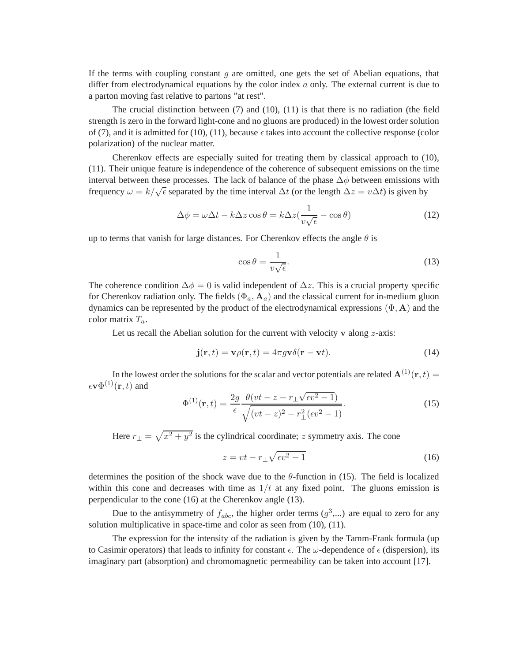If the terms with coupling constant  $g$  are omitted, one gets the set of Abelian equations, that differ from electrodynamical equations by the color index  $a$  only. The external current is due to a parton moving fast relative to partons "at rest".

The crucial distinction between  $(7)$  and  $(10)$ ,  $(11)$  is that there is no radiation (the field strength is zero in the forward light-cone and no gluons are produced) in the lowest order solution of (7), and it is admitted for (10), (11), because  $\epsilon$  takes into account the collective response (color polarization) of the nuclear matter.

Cherenkov effects are especially suited for treating them by classical approach to (10), (11). Their unique feature is independence of the coherence of subsequent emissions on the time interval between these processes. The lack of balance of the phase  $\Delta \phi$  between emissions with frequency  $\omega = k/\sqrt{\epsilon}$  separated by the time interval  $\Delta t$  (or the length  $\Delta z = v\Delta t$ ) is given by

$$
\Delta \phi = \omega \Delta t - k \Delta z \cos \theta = k \Delta z \left(\frac{1}{v \sqrt{\epsilon}} - \cos \theta\right)
$$
\n(12)

up to terms that vanish for large distances. For Cherenkov effects the angle  $\theta$  is

$$
\cos \theta = \frac{1}{v\sqrt{\epsilon}}.\tag{13}
$$

The coherence condition  $\Delta \phi = 0$  is valid independent of  $\Delta z$ . This is a crucial property specific for Cherenkov radiation only. The fields  $(\Phi_a, \mathbf{A}_a)$  and the classical current for in-medium gluon dynamics can be represented by the product of the electrodynamical expressions  $(\Phi, A)$  and the color matrix  $T_a$ .

Let us recall the Abelian solution for the current with velocity  $\bf{v}$  along  $\bf{z}$ -axis:

$$
\mathbf{j}(\mathbf{r},t) = \mathbf{v}\rho(\mathbf{r},t) = 4\pi g\mathbf{v}\delta(\mathbf{r}-\mathbf{v}t). \tag{14}
$$

In the lowest order the solutions for the scalar and vector potentials are related  $\mathbf{A}^{(1)}(\mathbf{r},t) =$  $\epsilon \mathbf{v} \Phi^{(1)}(\mathbf{r},t)$  and

$$
\Phi^{(1)}(\mathbf{r},t) = \frac{2g}{\epsilon} \frac{\theta(vt - z - r_{\perp}\sqrt{\epsilon v^2 - 1})}{\sqrt{(vt - z)^2 - r_{\perp}^2(\epsilon v^2 - 1)}}.
$$
\n(15)

Here  $r_{\perp} = \sqrt{x^2 + y^2}$  is the cylindrical coordinate; z symmetry axis. The cone

$$
z = vt - r_{\perp} \sqrt{\epsilon v^2 - 1} \tag{16}
$$

determines the position of the shock wave due to the  $\theta$ -function in (15). The field is localized within this cone and decreases with time as  $1/t$  at any fixed point. The gluons emission is perpendicular to the cone (16) at the Cherenkov angle (13).

Due to the antisymmetry of  $f_{abc}$ , the higher order terms  $(g^3,...)$  are equal to zero for any solution multiplicative in space-time and color as seen from (10), (11).

The expression for the intensity of the radiation is given by the Tamm-Frank formula (up to Casimir operators) that leads to infinity for constant  $\epsilon$ . The  $\omega$ -dependence of  $\epsilon$  (dispersion), its imaginary part (absorption) and chromomagnetic permeability can be taken into account [17].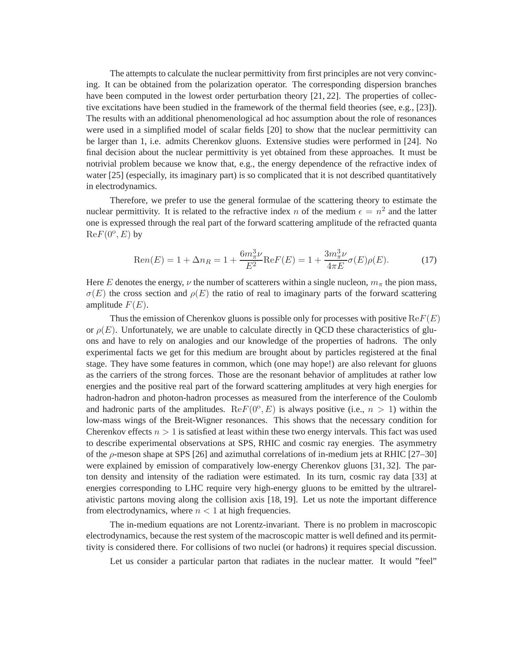The attempts to calculate the nuclear permittivity from first principles are not very convincing. It can be obtained from the polarization operator. The corresponding dispersion branches have been computed in the lowest order perturbation theory [21, 22]. The properties of collective excitations have been studied in the framework of the thermal field theories (see, e.g., [23]). The results with an additional phenomenological ad hoc assumption about the role of resonances were used in a simplified model of scalar fields [20] to show that the nuclear permittivity can be larger than 1, i.e. admits Cherenkov gluons. Extensive studies were performed in [24]. No final decision about the nuclear permittivity is yet obtained from these approaches. It must be notrivial problem because we know that, e.g., the energy dependence of the refractive index of water [25] (especially, its imaginary part) is so complicated that it is not described quantitatively in electrodynamics.

Therefore, we prefer to use the general formulae of the scattering theory to estimate the nuclear permittivity. It is related to the refractive index n of the medium  $\epsilon = n^2$  and the latter one is expressed through the real part of the forward scattering amplitude of the refracted quanta  $\text{Re}F(0^{\text{o}}, E)$  by

$$
Ren(E) = 1 + \Delta n_R = 1 + \frac{6m_{\pi}^3 \nu}{E^2} ReF(E) = 1 + \frac{3m_{\pi}^3 \nu}{4\pi E} \sigma(E)\rho(E). \tag{17}
$$

Here E denotes the energy,  $\nu$  the number of scatterers within a single nucleon,  $m_{\pi}$  the pion mass,  $\sigma(E)$  the cross section and  $\rho(E)$  the ratio of real to imaginary parts of the forward scattering amplitude  $F(E)$ .

Thus the emission of Cherenkov gluons is possible only for processes with positive  $ReF(E)$ or  $\rho(E)$ . Unfortunately, we are unable to calculate directly in QCD these characteristics of gluons and have to rely on analogies and our knowledge of the properties of hadrons. The only experimental facts we get for this medium are brought about by particles registered at the final stage. They have some features in common, which (one may hope!) are also relevant for gluons as the carriers of the strong forces. Those are the resonant behavior of amplitudes at rather low energies and the positive real part of the forward scattering amplitudes at very high energies for hadron-hadron and photon-hadron processes as measured from the interference of the Coulomb and hadronic parts of the amplitudes.  $\text{Re}F(0^{\circ}, E)$  is always positive (i.e.,  $n > 1$ ) within the low-mass wings of the Breit-Wigner resonances. This shows that the necessary condition for Cherenkov effects  $n > 1$  is satisfied at least within these two energy intervals. This fact was used to describe experimental observations at SPS, RHIC and cosmic ray energies. The asymmetry of the  $\rho$ -meson shape at SPS [26] and azimuthal correlations of in-medium jets at RHIC [27–30] were explained by emission of comparatively low-energy Cherenkov gluons [31, 32]. The parton density and intensity of the radiation were estimated. In its turn, cosmic ray data [33] at energies corresponding to LHC require very high-energy gluons to be emitted by the ultrarelativistic partons moving along the collision axis [18, 19]. Let us note the important difference from electrodynamics, where  $n < 1$  at high frequencies.

The in-medium equations are not Lorentz-invariant. There is no problem in macroscopic electrodynamics, because the rest system of the macroscopic matter is well defined and its permittivity is considered there. For collisions of two nuclei (or hadrons) it requires special discussion.

Let us consider a particular parton that radiates in the nuclear matter. It would "feel"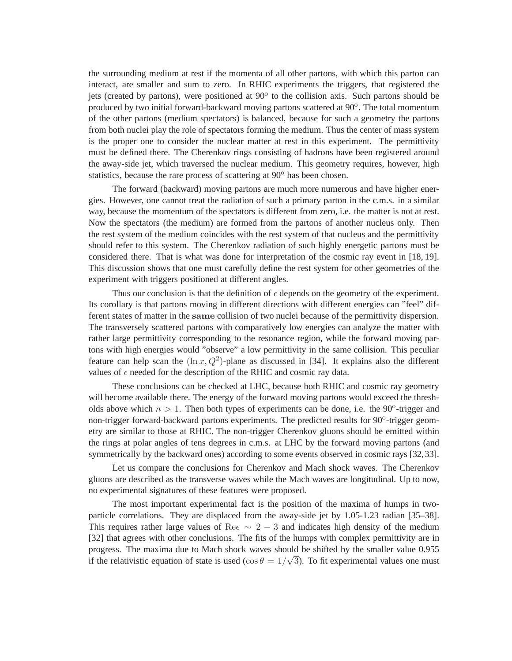the surrounding medium at rest if the momenta of all other partons, with which this parton can interact, are smaller and sum to zero. In RHIC experiments the triggers, that registered the jets (created by partons), were positioned at 90° to the collision axis. Such partons should be produced by two initial forward-backward moving partons scattered at 90°. The total momentum of the other partons (medium spectators) is balanced, because for such a geometry the partons from both nuclei play the role of spectators forming the medium. Thus the center of mass system is the proper one to consider the nuclear matter at rest in this experiment. The permittivity must be defined there. The Cherenkov rings consisting of hadrons have been registered around the away-side jet, which traversed the nuclear medium. This geometry requires, however, high statistics, because the rare process of scattering at 90<sup>o</sup> has been chosen.

The forward (backward) moving partons are much more numerous and have higher energies. However, one cannot treat the radiation of such a primary parton in the c.m.s. in a similar way, because the momentum of the spectators is different from zero, i.e. the matter is not at rest. Now the spectators (the medium) are formed from the partons of another nucleus only. Then the rest system of the medium coincides with the rest system of that nucleus and the permittivity should refer to this system. The Cherenkov radiation of such highly energetic partons must be considered there. That is what was done for interpretation of the cosmic ray event in [18, 19]. This discussion shows that one must carefully define the rest system for other geometries of the experiment with triggers positioned at different angles.

Thus our conclusion is that the definition of  $\epsilon$  depends on the geometry of the experiment. Its corollary is that partons moving in different directions with different energies can "feel" different states of matter in the same collision of two nuclei because of the permittivity dispersion. The transversely scattered partons with comparatively low energies can analyze the matter with rather large permittivity corresponding to the resonance region, while the forward moving partons with high energies would "observe" a low permittivity in the same collision. This peculiar feature can help scan the  $(\ln x, Q^2)$ -plane as discussed in [34]. It explains also the different values of  $\epsilon$  needed for the description of the RHIC and cosmic ray data.

These conclusions can be checked at LHC, because both RHIC and cosmic ray geometry will become available there. The energy of the forward moving partons would exceed the thresholds above which  $n > 1$ . Then both types of experiments can be done, i.e. the 90<sup>o</sup>-trigger and non-trigger forward-backward partons experiments. The predicted results for 90°-trigger geometry are similar to those at RHIC. The non-trigger Cherenkov gluons should be emitted within the rings at polar angles of tens degrees in c.m.s. at LHC by the forward moving partons (and symmetrically by the backward ones) according to some events observed in cosmic rays [32,33].

Let us compare the conclusions for Cherenkov and Mach shock waves. The Cherenkov gluons are described as the transverse waves while the Mach waves are longitudinal. Up to now, no experimental signatures of these features were proposed.

The most important experimental fact is the position of the maxima of humps in twoparticle correlations. They are displaced from the away-side jet by 1.05-1.23 radian [35–38]. This requires rather large values of Re $\epsilon \sim 2 - 3$  and indicates high density of the medium [32] that agrees with other conclusions. The fits of the humps with complex permittivity are in progress. The maxima due to Mach shock waves should be shifted by the smaller value 0.955 if the relativistic equation of state is used ( $\cos \theta = 1/\sqrt{3}$ ). To fit experimental values one must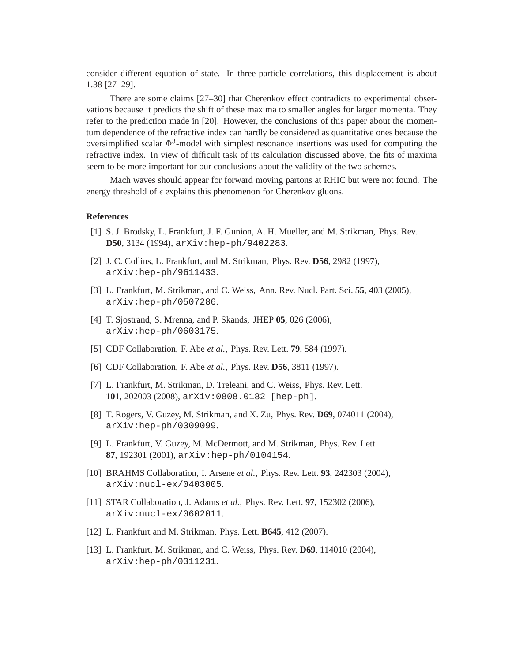consider different equation of state. In three-particle correlations, this displacement is about 1.38 [27–29].

There are some claims [27–30] that Cherenkov effect contradicts to experimental observations because it predicts the shift of these maxima to smaller angles for larger momenta. They refer to the prediction made in [20]. However, the conclusions of this paper about the momentum dependence of the refractive index can hardly be considered as quantitative ones because the oversimplified scalar  $\Phi^3$ -model with simplest resonance insertions was used for computing the refractive index. In view of difficult task of its calculation discussed above, the fits of maxima seem to be more important for our conclusions about the validity of the two schemes.

Mach waves should appear for forward moving partons at RHIC but were not found. The energy threshold of  $\epsilon$  explains this phenomenon for Cherenkov gluons.

#### **References**

- [1] S. J. Brodsky, L. Frankfurt, J. F. Gunion, A. H. Mueller, and M. Strikman, Phys. Rev. **D50**, 3134 (1994), arXiv:hep-ph/9402283.
- [2] J. C. Collins, L. Frankfurt, and M. Strikman, Phys. Rev. **D56**, 2982 (1997), arXiv:hep-ph/9611433.
- [3] L. Frankfurt, M. Strikman, and C. Weiss, Ann. Rev. Nucl. Part. Sci. **55**, 403 (2005), arXiv:hep-ph/0507286.
- [4] T. Sjostrand, S. Mrenna, and P. Skands, JHEP **05**, 026 (2006), arXiv:hep-ph/0603175.
- [5] CDF Collaboration, F. Abe *et al.*, Phys. Rev. Lett. **79**, 584 (1997).
- [6] CDF Collaboration, F. Abe *et al.*, Phys. Rev. **D56**, 3811 (1997).
- [7] L. Frankfurt, M. Strikman, D. Treleani, and C. Weiss, Phys. Rev. Lett. **101**, 202003 (2008), arXiv:0808.0182 [hep-ph].
- [8] T. Rogers, V. Guzey, M. Strikman, and X. Zu, Phys. Rev. **D69**, 074011 (2004), arXiv:hep-ph/0309099.
- [9] L. Frankfurt, V. Guzey, M. McDermott, and M. Strikman, Phys. Rev. Lett. **87**, 192301 (2001), arXiv:hep-ph/0104154.
- [10] BRAHMS Collaboration, I. Arsene *et al.*, Phys. Rev. Lett. **93**, 242303 (2004), arXiv:nucl-ex/0403005.
- [11] STAR Collaboration, J. Adams *et al.*, Phys. Rev. Lett. **97**, 152302 (2006), arXiv:nucl-ex/0602011.
- [12] L. Frankfurt and M. Strikman, Phys. Lett. **B645**, 412 (2007).
- [13] L. Frankfurt, M. Strikman, and C. Weiss, Phys. Rev. **D69**, 114010 (2004), arXiv:hep-ph/0311231.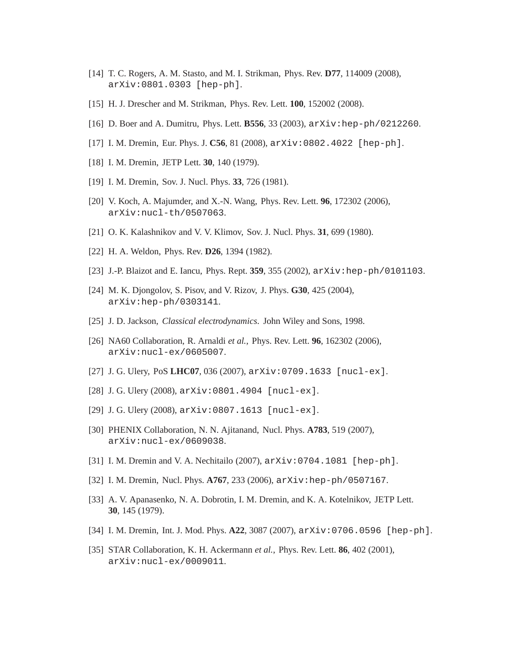- [14] T. C. Rogers, A. M. Stasto, and M. I. Strikman, Phys. Rev. **D77**, 114009 (2008), arXiv:0801.0303 [hep-ph].
- [15] H. J. Drescher and M. Strikman, Phys. Rev. Lett. **100**, 152002 (2008).
- [16] D. Boer and A. Dumitru, Phys. Lett. **B556**, 33 (2003), arXiv:hep-ph/0212260.
- [17] I. M. Dremin, Eur. Phys. J. **C56**, 81 (2008), arXiv:0802.4022 [hep-ph].
- [18] I. M. Dremin, JETP Lett. **30**, 140 (1979).
- [19] I. M. Dremin, Sov. J. Nucl. Phys. **33**, 726 (1981).
- [20] V. Koch, A. Majumder, and X.-N. Wang, Phys. Rev. Lett. **96**, 172302 (2006), arXiv:nucl-th/0507063.
- [21] O. K. Kalashnikov and V. V. Klimov, Sov. J. Nucl. Phys. **31**, 699 (1980).
- [22] H. A. Weldon, Phys. Rev. **D26**, 1394 (1982).
- [23] J.-P. Blaizot and E. Iancu, Phys. Rept. **359**, 355 (2002), arXiv:hep-ph/0101103.
- [24] M. K. Djongolov, S. Pisov, and V. Rizov, J. Phys. **G30**, 425 (2004), arXiv:hep-ph/0303141.
- [25] J. D. Jackson, *Classical electrodynamics*. John Wiley and Sons, 1998.
- [26] NA60 Collaboration, R. Arnaldi *et al.*, Phys. Rev. Lett. **96**, 162302 (2006), arXiv:nucl-ex/0605007.
- [27] J. G. Ulery, PoS **LHC07**, 036 (2007), arXiv:0709.1633 [nucl-ex].
- [28] J.G. Ulery (2008),  $arXiv:0801.4904$  [nucl-ex].
- [29] J. G. Ulery (2008), arXiv:0807.1613 [nucl-ex].
- [30] PHENIX Collaboration, N. N. Ajitanand, Nucl. Phys. **A783**, 519 (2007), arXiv:nucl-ex/0609038.
- [31] I. M. Dremin and V. A. Nechitailo (2007), arXiv:0704.1081 [hep-ph].
- [32] I. M. Dremin, Nucl. Phys. **A767**, 233 (2006), arXiv:hep-ph/0507167.
- [33] A. V. Apanasenko, N. A. Dobrotin, I. M. Dremin, and K. A. Kotelnikov, JETP Lett. **30**, 145 (1979).
- [34] I. M. Dremin, Int. J. Mod. Phys. **A22**, 3087 (2007), arXiv:0706.0596 [hep-ph].
- [35] STAR Collaboration, K. H. Ackermann *et al.*, Phys. Rev. Lett. **86**, 402 (2001), arXiv:nucl-ex/0009011.